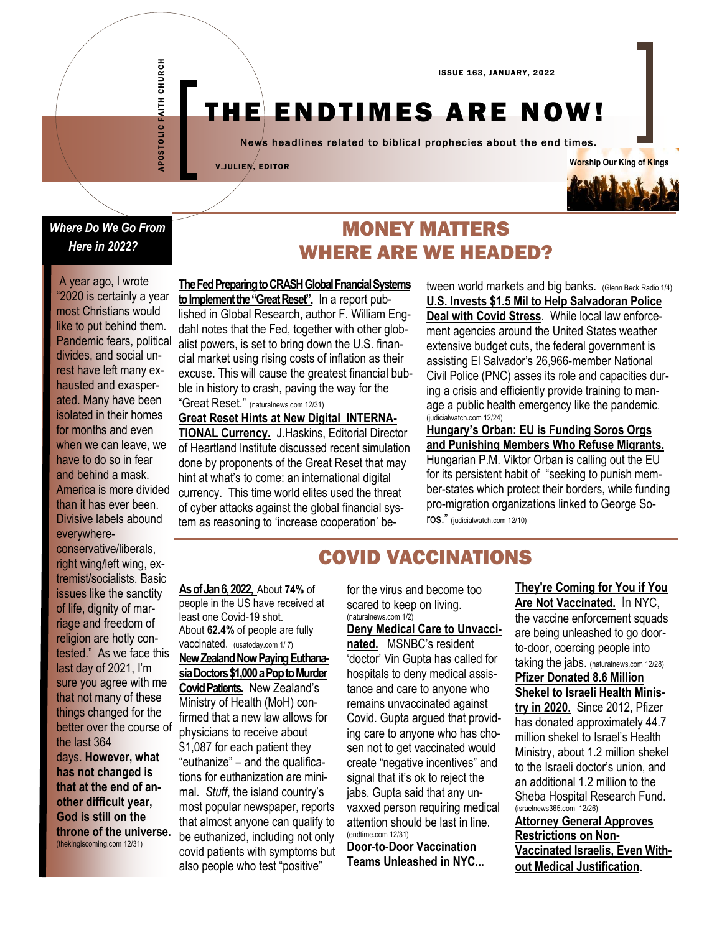# THE ENDTIMES ARE NOW!

News headlines related to biblical prophecies about the end times.

V.JULIEN, EDITOR



#### *Where Do We Go From Here in 2022? 2*

APOSTOLIC FAITH CHURCH

APOSTOLIC FAITH CHURCH

A year ago, I wrote "2020 is certainly a year most Christians would like to put behind them. Pandemic fears, political divides, and social unrest have left many exhausted and exasperated. Many have been isolated in their homes for months and even when we can leave, we have to do so in fear and behind a mask. America is more divided than it has ever been. Divisive labels abound everywhereconservative/liberals, right wing/left wing, extremist/socialists. Basic issues like the sanctity of life, dignity of marriage and freedom of religion are hotly contested." As we face this last day of 2021, I'm sure you agree with me that not many of these things changed for the better over the course of the last 364 days. **However, what has not changed is that at the end of another difficult year, God is still on the throne of the universe.** (thekingiscoming.com 12/31)

**The Fed Preparing to CRASH Global Fnancial Systems to Implement the "Great Reset".** In a report published in Global Research, author F. William Engdahl notes that the Fed, together with other globalist powers, is set to [bring down the U.S. finan](https://www.globalresearch.ca/will-the-federal-reserve-crash-global-financial-markets-as-a-means-to-implementing-their-great-reset/5764816)[cial market](https://www.globalresearch.ca/will-the-federal-reserve-crash-global-financial-markets-as-a-means-to-implementing-their-great-reset/5764816) using rising costs of inflation as their excuse. This will cause the greatest financial bubble in history to crash, paving the way for the "Great Reset." (naturalnews.com 12/31)

**Great Reset Hints at New Digital INTERNA-**

**TIONAL Currency.** J.Haskins, Editorial Director of Heartland Institute discussed recent simulation done by proponents of the Great Reset that may hint at what's to come: an international digital currency. This time world elites used the threat of cyber attacks against the global financial system as reasoning to 'increase cooperation' be-

tween world markets and big banks. (Glenn Beck Radio 1/4) **[U.S. Invests \\$1.5 Mil to Help Salvadoran Police](https://myjw.pr.judicialwatch.org/link.php?AGENCY=jw&M=37007178&N=57462&L=26494&F=H&drurl=aHR0cHM6Ly93d3cuanVkaWNpYWx3YXRjaC5vcmcvdS1zLWdpdmVzLXNhbHZhZG9yYW4tcG9saWNlLTEtNS1taWxsaW9uLXRvLWRlYWwtd2l0aC1jb3ZpZC0xOS1zdHJlc3MvP3V0bV9zb3VyY2U9ZGVwbG95ZXImdXRtX21lZ)  [Deal with Covid Stress](https://myjw.pr.judicialwatch.org/link.php?AGENCY=jw&M=37007178&N=57462&L=26494&F=H&drurl=aHR0cHM6Ly93d3cuanVkaWNpYWx3YXRjaC5vcmcvdS1zLWdpdmVzLXNhbHZhZG9yYW4tcG9saWNlLTEtNS1taWxsaW9uLXRvLWRlYWwtd2l0aC1jb3ZpZC0xOS1zdHJlc3MvP3V0bV9zb3VyY2U9ZGVwbG95ZXImdXRtX21lZ)**. While local law enforcement agencies around the United States weather extensive budget cuts, the federal government is assisting El Salvador's 26,966-member National Civil Police (PNC) asses its role and capacities during a crisis and efficiently provide training to manage a public health emergency like the pandemic. (judicialwatch.com 12/24)

**[Hungary's Orban: EU is Funding Soros Orgs](https://click.mlsend.com/link/c/YT0xODM4Mjc1NzY0MzcwMjgyMTIwJmM9dzJ0NiZlPTE5MjgmYj04MzA0OTMyNDUmZD1lNHk2bjFz.dhHA18qKzbX3AOQEbKfQxJDe4Y430f0si5E0K6HYyjM)  [and Punishing Members Who Refuse Migrants.](https://click.mlsend.com/link/c/YT0xODM4Mjc1NzY0MzcwMjgyMTIwJmM9dzJ0NiZlPTE5MjgmYj04MzA0OTMyNDUmZD1lNHk2bjFz.dhHA18qKzbX3AOQEbKfQxJDe4Y430f0si5E0K6HYyjM)** Hungarian P.M. Viktor Orban is calling out the EU for its persistent habit of "seeking to punish member-states which protect their borders, while funding pro-migration organizations linked to George Soros." (judicialwatch.com 12/10)

# COVID VACCINATIONS

**As of Jan 6, 2022,** About **74%** of people in the US have received at least one Covid-19 shot. About **62.4%** of people are fully vaccinated. (usatoday.com 1/ 7) **New Zealand Now Paying Euthana-**

**sia Doctors \$1,000 a Pop to Murder Covid Patients.** New Zealand's Ministry of Health (MoH) confirmed that a new law allows for physicians to receive about \$1,087 for each patient they "euthanize" – and the qualifications for euthanization are minimal. *Stuff*, the island country's most popular newspaper, reports that almost anyone can qualify to be euthanized, including not only covid patients with symptoms but also people who test "positive"

for the virus and become too scared to keep on living. (naturalnews.com 1/2) **Deny Medical Care to Unvaccinated.** MSNBC's resident 'doctor' Vin Gupta has called for hospitals to deny medical assistance and care to anyone who remains unvaccinated against Covid. Gupta argued that providing care to anyone who has chosen not to get vaccinated would create "negative incentives" and signal that it's ok to reject the jabs. Gupta said that any unvaxxed person requiring medical attention should be last in line. (endtime.com 12/31) **[Door-to-Door Vaccination](https://ce-publiclw.naturalnews.com/ct.asp?id=3226D822174840F41832932222B0872001809CA23114B97CBBF40537F66367B08C5195B484DA21CFC840A91DAE48305ECB94D89BDE8326ECA845A24C0158F3D9&ct=4aeUsxwAAABCWmgzMUFZJlNZ%2fvFJhAAABRmAAAGAECpH3oAgACKabUNGnqPUKGmmAAobuO8ywggz5FO)** 

**[Teams Unleashed in NYC...](https://ce-publiclw.naturalnews.com/ct.asp?id=3226D822174840F41832932222B0872001809CA23114B97CBBF40537F66367B08C5195B484DA21CFC840A91DAE48305ECB94D89BDE8326ECA845A24C0158F3D9&ct=4aeUsxwAAABCWmgzMUFZJlNZ%2fvFJhAAABRmAAAGAECpH3oAgACKabUNGnqPUKGmmAAobuO8ywggz5FO)** 

**Are Not Vaccinated.** In NYC, the vaccine enforcement squads are being unleashed to go doorto-door, coercing people into taking the jabs. (naturalnews.com 12/28) **[Pfizer Donated 8.6 Million](https://israel365.lt.acemlnc.com/Prod/link-tracker?redirectUrl=aHR0cHMlM0ElMkYlMkZ3d3cuaXNyYWVsMzY1bmV3cy5jb20lMkYyNjQ1NTYlMkZwZml6ZXItZG9uYXRlZC04LTYtbWlsbGlvbi1zaGVrZWwtdG8taXNyYWVsaS1oZWFsdGgtbWluaXN0cnklMkYlM0Z1dG1fc291cmNlJTNEQWN0aXZlQ2FtcGFpZ24lMjZ1dG1f)  [Shekel to Israeli Health Minis](https://israel365.lt.acemlnc.com/Prod/link-tracker?redirectUrl=aHR0cHMlM0ElMkYlMkZ3d3cuaXNyYWVsMzY1bmV3cy5jb20lMkYyNjQ1NTYlMkZwZml6ZXItZG9uYXRlZC04LTYtbWlsbGlvbi1zaGVrZWwtdG8taXNyYWVsaS1oZWFsdGgtbWluaXN0cnklMkYlM0Z1dG1fc291cmNlJTNEQWN0aXZlQ2FtcGFpZ24lMjZ1dG1f)[try](https://israel365.lt.acemlnc.com/Prod/link-tracker?redirectUrl=aHR0cHMlM0ElMkYlMkZ3d3cuaXNyYWVsMzY1bmV3cy5jb20lMkYyNjQ1NTYlMkZwZml6ZXItZG9uYXRlZC04LTYtbWlsbGlvbi1zaGVrZWwtdG8taXNyYWVsaS1oZWFsdGgtbWluaXN0cnklMkYlM0Z1dG1fc291cmNlJTNEQWN0aXZlQ2FtcGFpZ24lMjZ1dG1f) in 2020.** Since 2012, Pfizer has donated approximately 44.7 million shekel to Israel's Health Ministry, about 1.2 million shekel to the Israeli doctor's union, and an additional 1.2 million to the Sheba Hospital Research Fund. (israelnews365.com 12/26) **[Attorney General Approves](https://israel365.lt.acemlnc.com/Prod/link-tracker?redirectUrl=aHR0cHMlM0ElMkYlMkZ3d3cuaXNyYWVsMzY1bmV3cy5jb20lMkYyNjQ2NDclMkZhdHRvcm5leS1nZW5lcmFsLWFwcHJvdmVzLXJlc3RyaWN0aW9ucy1vbi1ub24tdmFjY2luYXRlZC1pc3JhZWxpcy1ldmVuLXdpdGhvdXQtbWVkaWNhbC1qdXN0aWZpY2F0aW9u)** 

**[They're Coming for You](https://ce-publiclw.naturalnews.com/ct.asp?id=3226D822174840F41832932222B0872001809CA23114B97CBBF40537F66367B08C5195B484DA21CFC840A91DAE48305ECB94D89BDE8326ECA845A24C0158F3D9&ct=4aeUsxwAAABCWmgzMUFZJlNZ%2fvFJhAAABRmAAAGAECpH3oAgACKabUNGnqPUKGmmAAobuO8ywggz5FO) if You** 

**[Restrictions on Non-](https://israel365.lt.acemlnc.com/Prod/link-tracker?redirectUrl=aHR0cHMlM0ElMkYlMkZ3d3cuaXNyYWVsMzY1bmV3cy5jb20lMkYyNjQ2NDclMkZhdHRvcm5leS1nZW5lcmFsLWFwcHJvdmVzLXJlc3RyaWN0aW9ucy1vbi1ub24tdmFjY2luYXRlZC1pc3JhZWxpcy1ldmVuLXdpdGhvdXQtbWVkaWNhbC1qdXN0aWZpY2F0aW9u)[Vaccinated Israelis, Even With](https://israel365.lt.acemlnc.com/Prod/link-tracker?redirectUrl=aHR0cHMlM0ElMkYlMkZ3d3cuaXNyYWVsMzY1bmV3cy5jb20lMkYyNjQ2NDclMkZhdHRvcm5leS1nZW5lcmFsLWFwcHJvdmVzLXJlc3RyaWN0aW9ucy1vbi1ub24tdmFjY2luYXRlZC1pc3JhZWxpcy1ldmVuLXdpdGhvdXQtbWVkaWNhbC1qdXN0aWZpY2F0aW9u)[out Medical Justification](https://israel365.lt.acemlnc.com/Prod/link-tracker?redirectUrl=aHR0cHMlM0ElMkYlMkZ3d3cuaXNyYWVsMzY1bmV3cy5jb20lMkYyNjQ2NDclMkZhdHRvcm5leS1nZW5lcmFsLWFwcHJvdmVzLXJlc3RyaWN0aW9ucy1vbi1ub24tdmFjY2luYXRlZC1pc3JhZWxpcy1ldmVuLXdpdGhvdXQtbWVkaWNhbC1qdXN0aWZpY2F0aW9u)**.

# MONEY MATTERS WHERE ARE WE HEADED?